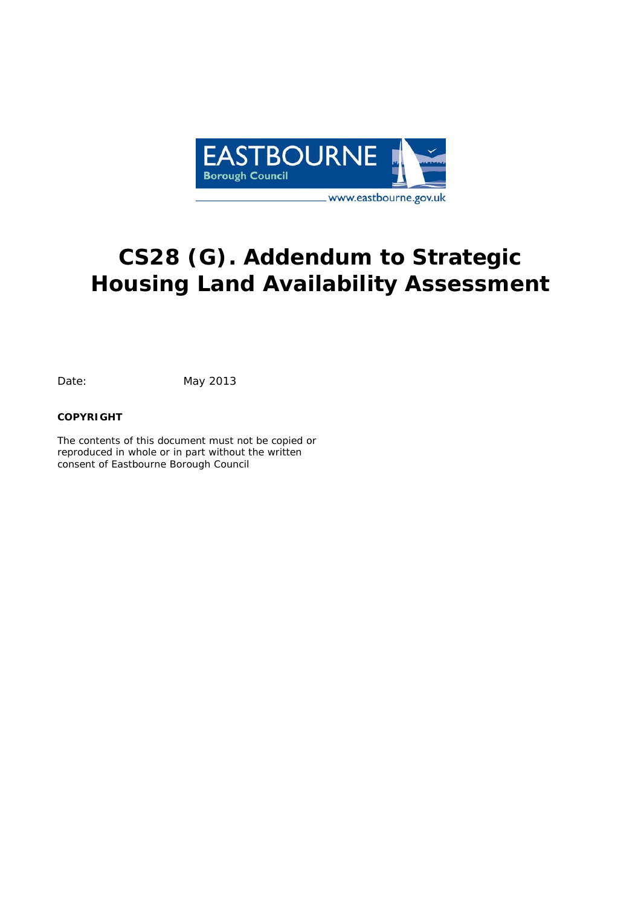

# **CS28 (G). Addendum to Strategic Housing Land Availability Assessment**

Date: May 2013

#### **COPYRIGHT**

The contents of this document must not be copied or reproduced in whole or in part without the written consent of Eastbourne Borough Council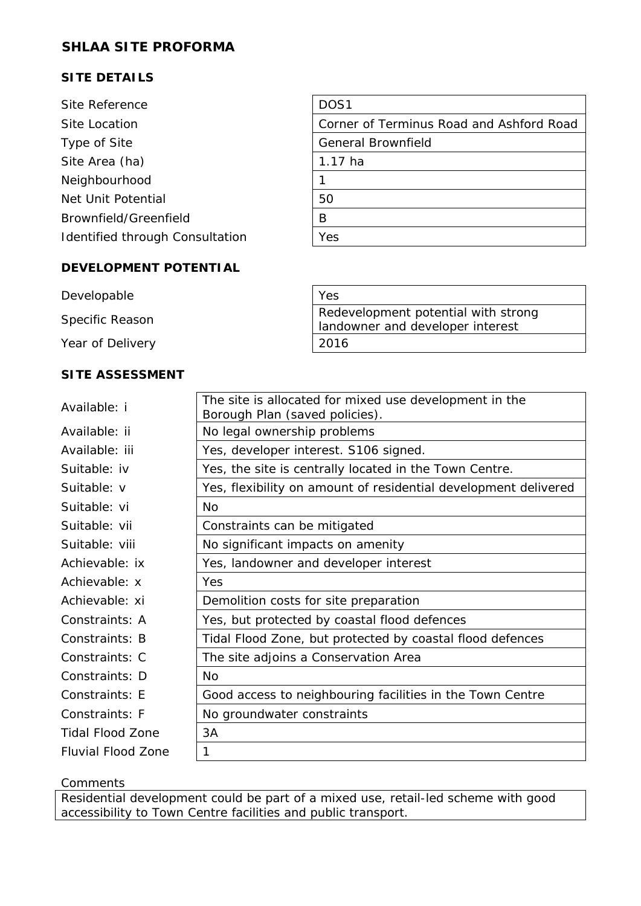## **SITE DETAILS**

| Site Reference                  | DOS <sub>1</sub>                         |
|---------------------------------|------------------------------------------|
| Site Location                   | Corner of Terminus Road and Ashford Road |
| Type of Site                    | <b>General Brownfield</b>                |
| Site Area (ha)                  | $1.17$ ha                                |
| Neighbourhood                   |                                          |
| Net Unit Potential              | 50                                       |
| Brownfield/Greenfield           | B                                        |
| Identified through Consultation | Yes                                      |
|                                 |                                          |

### **DEVELOPMENT POTENTIAL**

| Developable      | Yes                                                                     |
|------------------|-------------------------------------------------------------------------|
| Specific Reason  | Redevelopment potential with strong<br>landowner and developer interest |
| Year of Delivery | 2016                                                                    |

## **SITE ASSESSMENT**

| Available: i              | The site is allocated for mixed use development in the<br>Borough Plan (saved policies). |
|---------------------------|------------------------------------------------------------------------------------------|
| Available: ii             | No legal ownership problems                                                              |
| Available: iii            | Yes, developer interest. S106 signed.                                                    |
| Suitable: iv              | Yes, the site is centrally located in the Town Centre.                                   |
| Suitable: v               | Yes, flexibility on amount of residential development delivered                          |
| Suitable: vi              | Nο                                                                                       |
| Suitable: vii             | Constraints can be mitigated                                                             |
| Suitable: viii            | No significant impacts on amenity                                                        |
| Achievable: ix            | Yes, landowner and developer interest                                                    |
| Achievable: x             | Yes                                                                                      |
| Achievable: xi            | Demolition costs for site preparation                                                    |
| Constraints: A            | Yes, but protected by coastal flood defences                                             |
| Constraints: B            | Tidal Flood Zone, but protected by coastal flood defences                                |
| Constraints: C            | The site adjoins a Conservation Area                                                     |
| Constraints: D            | Nο                                                                                       |
| Constraints: F            | Good access to neighbouring facilities in the Town Centre                                |
| Constraints: F            | No groundwater constraints                                                               |
| <b>Tidal Flood Zone</b>   | 3A                                                                                       |
| <b>Fluvial Flood Zone</b> | 1                                                                                        |

#### Comments

Residential development could be part of a mixed use, retail-led scheme with good accessibility to Town Centre facilities and public transport.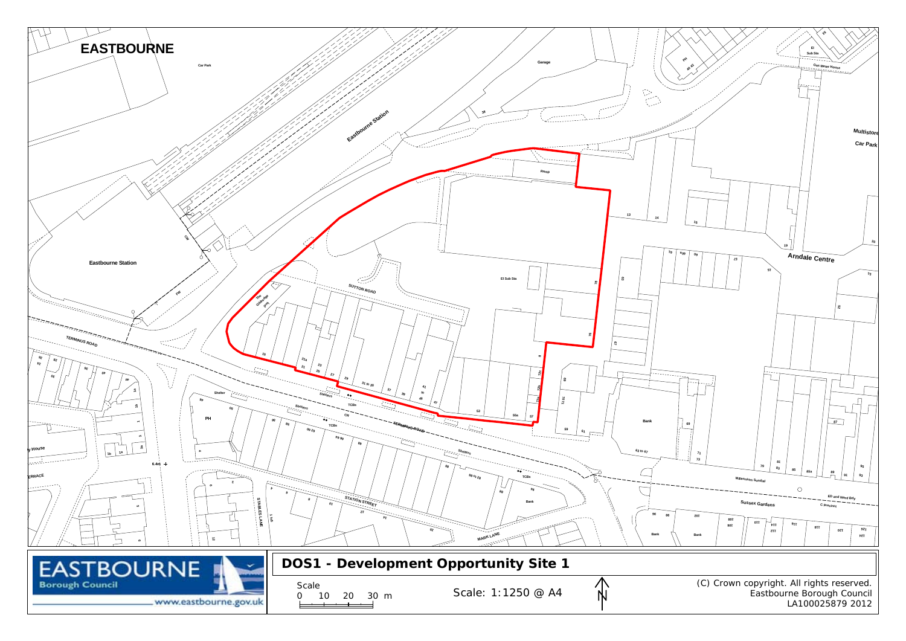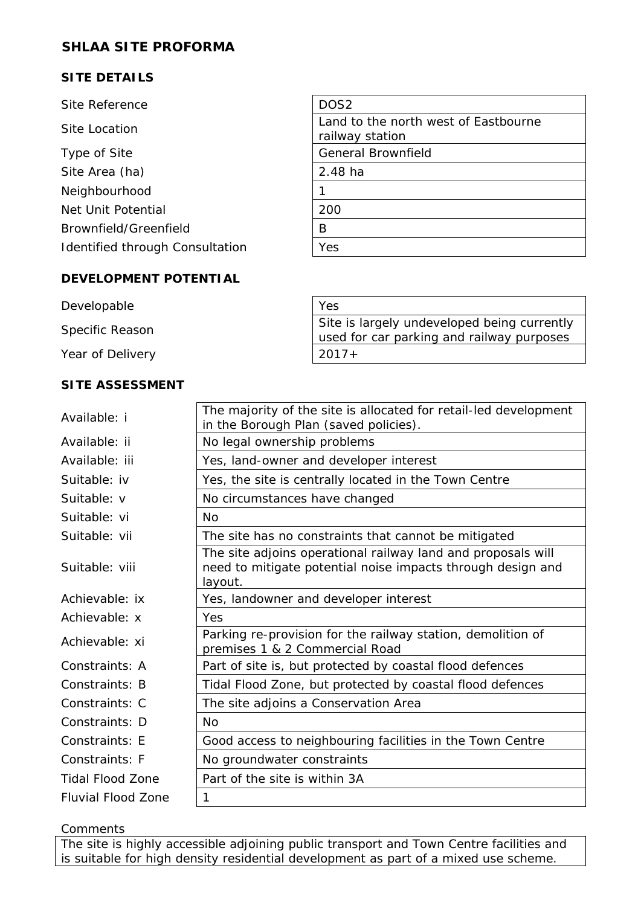## **SITE DETAILS**

| Site Reference                  | DOS <sub>2</sub>                                        |
|---------------------------------|---------------------------------------------------------|
| Site Location                   | Land to the north west of Eastbourne<br>railway station |
| Type of Site                    | <b>General Brownfield</b>                               |
| Site Area (ha)                  | 2.48 ha                                                 |
| Neighbourhood                   |                                                         |
| Net Unit Potential              | 200                                                     |
| Brownfield/Greenfield           | B                                                       |
| Identified through Consultation | Yes                                                     |
|                                 |                                                         |

#### **DEVELOPMENT POTENTIAL**

| Developable      | Yes                                                                                      |
|------------------|------------------------------------------------------------------------------------------|
| Specific Reason  | Site is largely undeveloped being currently<br>used for car parking and railway purposes |
| Year of Delivery | $2017+$                                                                                  |

#### **SITE ASSESSMENT**

| Available: i              | The majority of the site is allocated for retail-led development<br>in the Borough Plan (saved policies).                              |
|---------------------------|----------------------------------------------------------------------------------------------------------------------------------------|
| Available: ii             | No legal ownership problems                                                                                                            |
| Available: iii            | Yes, land-owner and developer interest                                                                                                 |
| Suitable: iv              | Yes, the site is centrally located in the Town Centre                                                                                  |
| Suitable: v               | No circumstances have changed                                                                                                          |
| Suitable: vi              | <b>No</b>                                                                                                                              |
| Suitable: vii             | The site has no constraints that cannot be mitigated                                                                                   |
| Suitable: viii            | The site adjoins operational railway land and proposals will<br>need to mitigate potential noise impacts through design and<br>layout. |
| Achievable: ix            | Yes, landowner and developer interest                                                                                                  |
| Achievable: x             | Yes                                                                                                                                    |
| Achievable: xi            | Parking re-provision for the railway station, demolition of<br>premises 1 & 2 Commercial Road                                          |
| Constraints: A            | Part of site is, but protected by coastal flood defences                                                                               |
| Constraints: B            | Tidal Flood Zone, but protected by coastal flood defences                                                                              |
| Constraints: C            | The site adjoins a Conservation Area                                                                                                   |
| Constraints: D            | <b>No</b>                                                                                                                              |
| Constraints: E            | Good access to neighbouring facilities in the Town Centre                                                                              |
| Constraints: F            | No groundwater constraints                                                                                                             |
| <b>Tidal Flood Zone</b>   | Part of the site is within 3A                                                                                                          |
| <b>Fluvial Flood Zone</b> | 1                                                                                                                                      |
|                           |                                                                                                                                        |

**Comments** 

The site is highly accessible adjoining public transport and Town Centre facilities and is suitable for high density residential development as part of a mixed use scheme.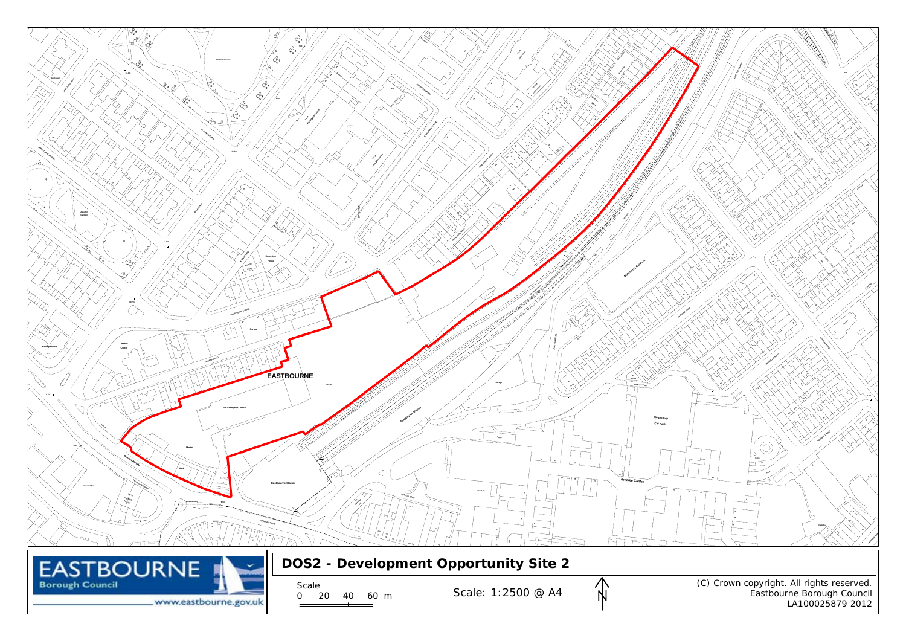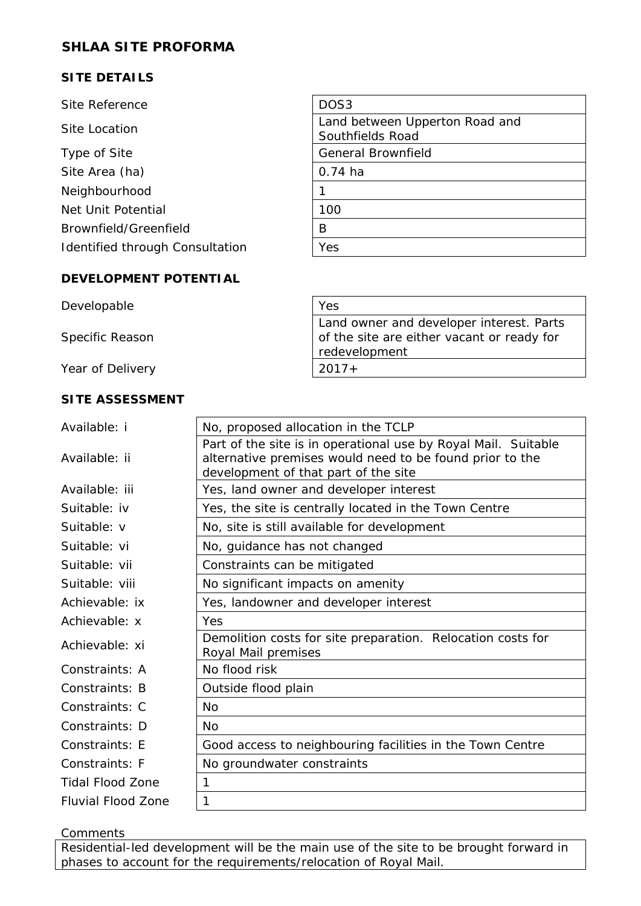## **SITE DETAILS**

| Site Reference                  | DOS <sub>3</sub>                                   |
|---------------------------------|----------------------------------------------------|
| Site Location                   | Land between Upperton Road and<br>Southfields Road |
| Type of Site                    | <b>General Brownfield</b>                          |
| Site Area (ha)                  | $0.74$ ha                                          |
| Neighbourhood                   |                                                    |
| Net Unit Potential              | 100                                                |
| Brownfield/Greenfield           | B                                                  |
| Identified through Consultation | Yes                                                |
|                                 |                                                    |

#### **DEVELOPMENT POTENTIAL**

| Developable      | Yes                                                                                                     |
|------------------|---------------------------------------------------------------------------------------------------------|
| Specific Reason  | Land owner and developer interest. Parts<br>of the site are either vacant or ready for<br>redevelopment |
| Year of Delivery | $2017+$                                                                                                 |

#### **SITE ASSESSMENT**

| Available: i              | No, proposed allocation in the TCLP                                                              |
|---------------------------|--------------------------------------------------------------------------------------------------|
|                           | Part of the site is in operational use by Royal Mail. Suitable                                   |
| Available: ii             | alternative premises would need to be found prior to the<br>development of that part of the site |
|                           |                                                                                                  |
| Available: iii            | Yes, land owner and developer interest                                                           |
| Suitable: iv              | Yes, the site is centrally located in the Town Centre                                            |
| Suitable: v               | No, site is still available for development                                                      |
| Suitable: vi              | No, guidance has not changed                                                                     |
| Suitable: vii             | Constraints can be mitigated                                                                     |
| Suitable: viii            | No significant impacts on amenity                                                                |
| Achievable: ix            | Yes, landowner and developer interest                                                            |
| Achievable: x             | Yes                                                                                              |
| Achievable: xi            | Demolition costs for site preparation. Relocation costs for<br>Royal Mail premises               |
| Constraints: A            | No flood risk                                                                                    |
| Constraints: B            | Outside flood plain                                                                              |
| Constraints: C            | Nο                                                                                               |
| Constraints: D            | <b>No</b>                                                                                        |
| Constraints: E            | Good access to neighbouring facilities in the Town Centre                                        |
| Constraints: F            | No groundwater constraints                                                                       |
| <b>Tidal Flood Zone</b>   | 1                                                                                                |
| <b>Fluvial Flood Zone</b> | 1                                                                                                |
|                           |                                                                                                  |

**Comments** 

**Residential-led development will be the main use of the site to be brought forward in** phases to account for the requirements/relocation of Royal Mail.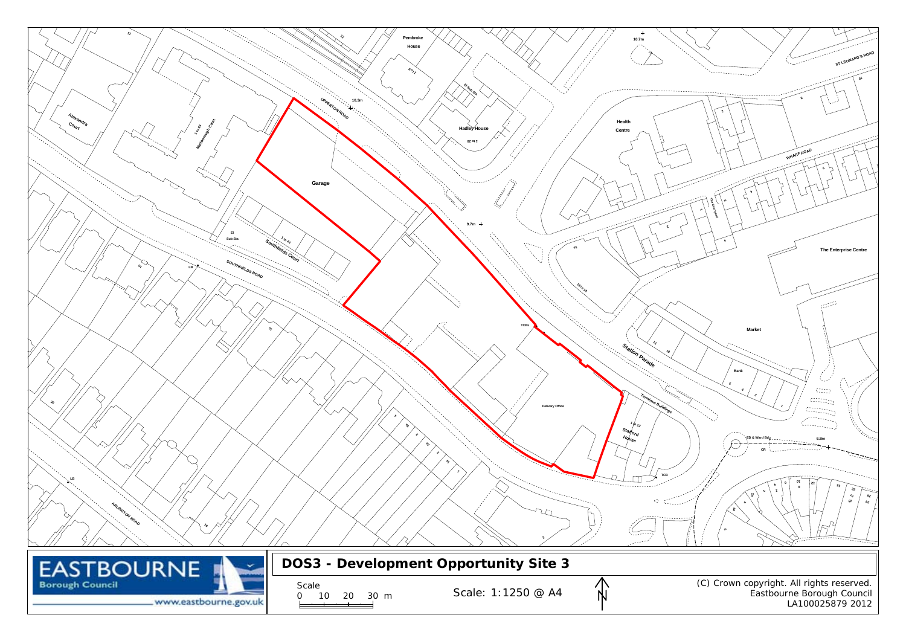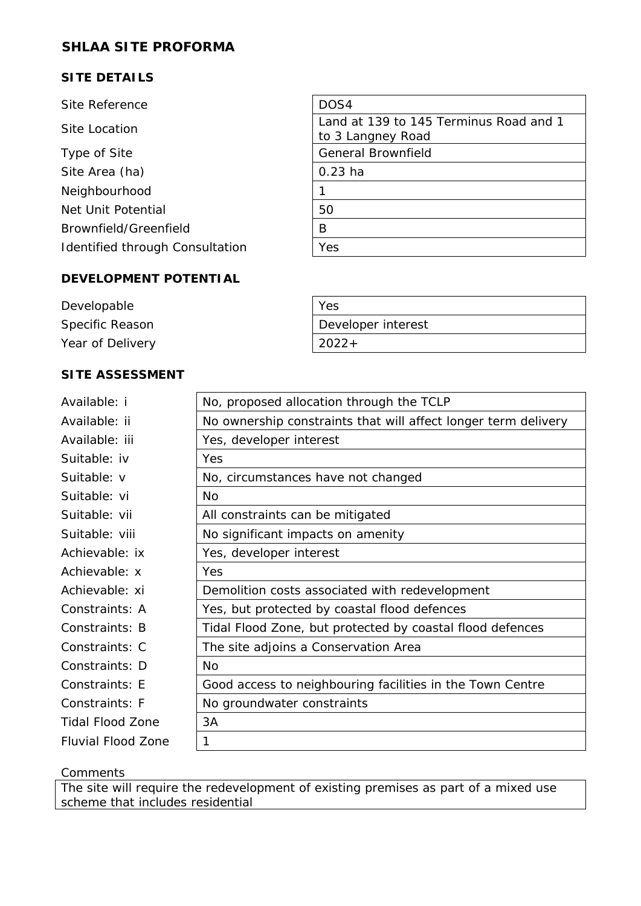## **SITE DETAILS**

| Site Reference                  | DOS4                                                        |
|---------------------------------|-------------------------------------------------------------|
| Site Location                   | Land at 139 to 145 Terminus Road and 1<br>to 3 Langney Road |
| Type of Site                    | <b>General Brownfield</b>                                   |
| Site Area (ha)                  | $0.23$ ha                                                   |
| Neighbourhood                   |                                                             |
| Net Unit Potential              | 50                                                          |
| Brownfield/Greenfield           | B                                                           |
| Identified through Consultation | Yes                                                         |
|                                 |                                                             |

#### **DEVELOPMENT POTENTIAL**

 $\mathbf{r}$ 

| Developable      | Yes                |
|------------------|--------------------|
| Specific Reason  | Developer interest |
| Year of Delivery | $2022+$            |

<u> 1980 - Johann Barnett, fransk politik (f. 1980)</u>

## **SITE ASSESSMENT**

| Available: i              | No, proposed allocation through the TCLP                       |
|---------------------------|----------------------------------------------------------------|
| Available: ii             | No ownership constraints that will affect longer term delivery |
| Available: iii            | Yes, developer interest                                        |
| Suitable: iv              | Yes                                                            |
| Suitable: v               | No, circumstances have not changed                             |
| Suitable: vi              | <b>No</b>                                                      |
| Suitable: vii             | All constraints can be mitigated                               |
| Suitable: viii            | No significant impacts on amenity                              |
| Achievable: ix            | Yes, developer interest                                        |
| Achievable: x             | Yes                                                            |
| Achievable: xi            | Demolition costs associated with redevelopment                 |
| Constraints: A            | Yes, but protected by coastal flood defences                   |
| Constraints: B            | Tidal Flood Zone, but protected by coastal flood defences      |
| Constraints: C            | The site adjoins a Conservation Area                           |
| Constraints: D            | N <sub>O</sub>                                                 |
| Constraints: E            | Good access to neighbouring facilities in the Town Centre      |
| Constraints: F            | No groundwater constraints                                     |
| <b>Tidal Flood Zone</b>   | 3A                                                             |
| <b>Fluvial Flood Zone</b> | 1                                                              |

#### **Comments**

The site will require the redevelopment of existing premises as part of a mixed use scheme that includes residential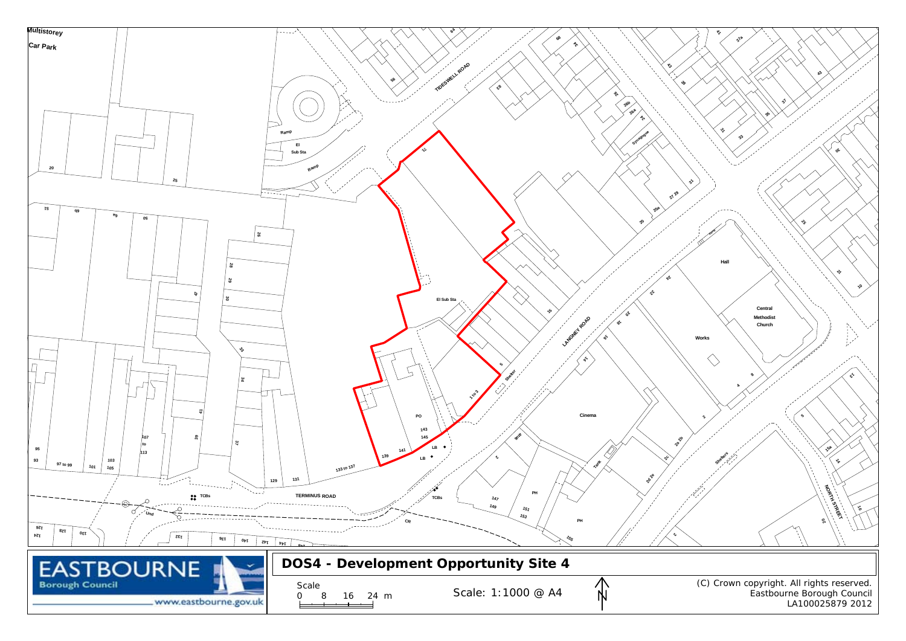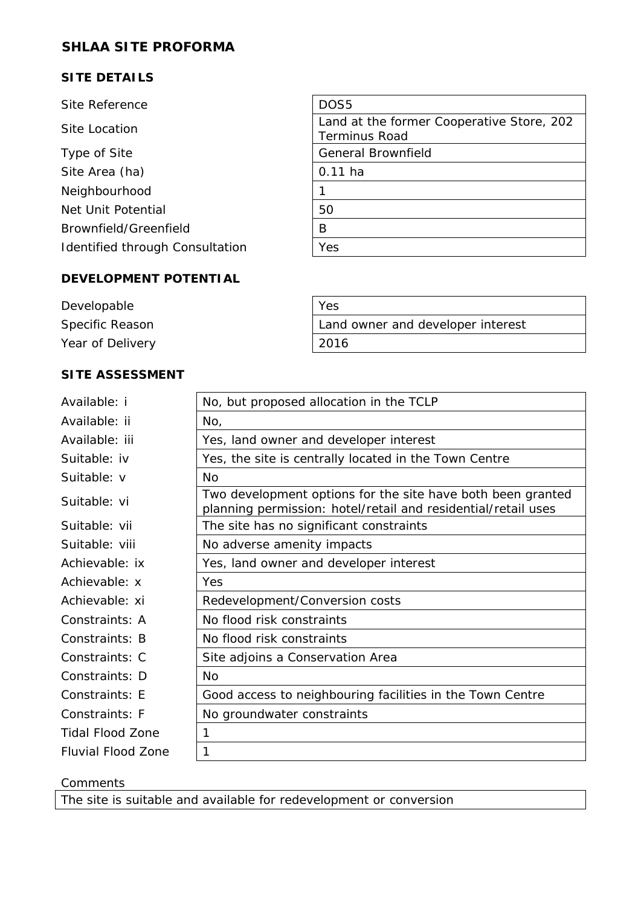## **SITE DETAILS**

| Site Reference                  | DOS <sub>5</sub>                                                  |
|---------------------------------|-------------------------------------------------------------------|
| Site Location                   | Land at the former Cooperative Store, 202<br><b>Terminus Road</b> |
| Type of Site                    | <b>General Brownfield</b>                                         |
| Site Area (ha)                  | $0.11$ ha                                                         |
| Neighbourhood                   |                                                                   |
| Net Unit Potential              | 50                                                                |
| Brownfield/Greenfield           | B                                                                 |
| Identified through Consultation | Yes                                                               |
|                                 |                                                                   |

#### **DEVELOPMENT POTENTIAL**

| Developable      | Yes                               |
|------------------|-----------------------------------|
| Specific Reason  | Land owner and developer interest |
| Year of Delivery | 2016                              |

## **SITE ASSESSMENT**

| Available: i       | No, but proposed allocation in the TCLP                                                                                      |
|--------------------|------------------------------------------------------------------------------------------------------------------------------|
| Available: ii      | No,                                                                                                                          |
| Available: iii     | Yes, land owner and developer interest                                                                                       |
| Suitable: iv       | Yes, the site is centrally located in the Town Centre                                                                        |
| Suitable: v        | N <sub>O</sub>                                                                                                               |
| Suitable: vi       | Two development options for the site have both been granted<br>planning permission: hotel/retail and residential/retail uses |
| Suitable: vii      | The site has no significant constraints                                                                                      |
| Suitable: viii     | No adverse amenity impacts                                                                                                   |
| Achievable: ix     | Yes, land owner and developer interest                                                                                       |
| Achievable: x      | Yes                                                                                                                          |
| Achievable: xi     | Redevelopment/Conversion costs                                                                                               |
| Constraints: A     | No flood risk constraints                                                                                                    |
| Constraints: B     | No flood risk constraints                                                                                                    |
| Constraints: C     | Site adjoins a Conservation Area                                                                                             |
| Constraints: D     | N <sub>O</sub>                                                                                                               |
| Constraints: E     | Good access to neighbouring facilities in the Town Centre                                                                    |
| Constraints: F     | No groundwater constraints                                                                                                   |
| Tidal Flood Zone   | 1                                                                                                                            |
| Fluvial Flood Zone | 1                                                                                                                            |
|                    |                                                                                                                              |

#### Comments

The site is suitable and available for redevelopment or conversion